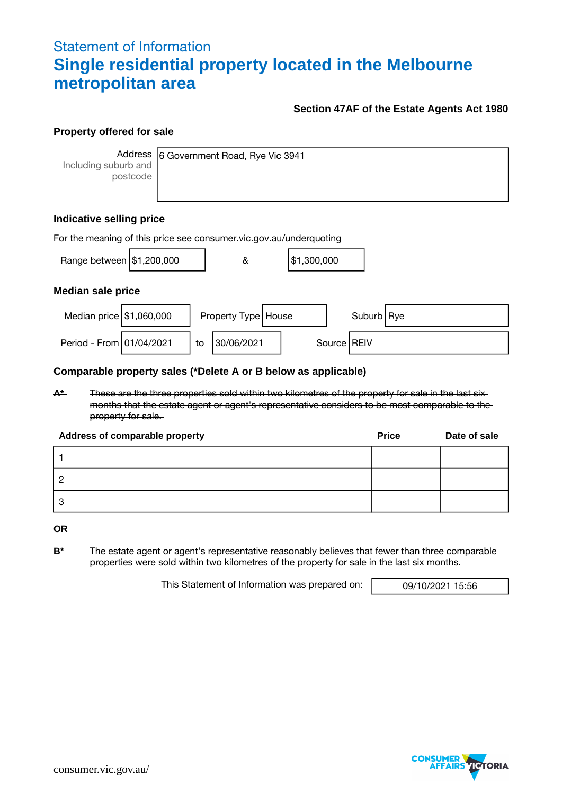## Statement of Information **Single residential property located in the Melbourne metropolitan area**

#### **Section 47AF of the Estate Agents Act 1980**

#### **Property offered for sale**

Including suburb and postcode

Address 6 Government Road, Rye Vic 3941

#### **Indicative selling price**

| For the meaning of this price see consumer.vic.gov.au/underquoting |  |    |                       |  |             |  |               |  |
|--------------------------------------------------------------------|--|----|-----------------------|--|-------------|--|---------------|--|
| Range between $\frac{151,200,000}{1000}$                           |  |    | &                     |  | \$1,300,000 |  |               |  |
| <b>Median sale price</b>                                           |  |    |                       |  |             |  |               |  |
| Median price $\frac{151,060,000}{500}$                             |  |    | Property Type   House |  |             |  | Suburb Rye    |  |
| Period - From 01/04/2021                                           |  | to | 30/06/2021            |  |             |  | Source   REIV |  |

#### **Comparable property sales (\*Delete A or B below as applicable)**

**A\*** These are the three properties sold within two kilometres of the property for sale in the last six months that the estate agent or agent's representative considers to be most comparable to the property for sale.

| Address of comparable property | <b>Price</b> | Date of sale |
|--------------------------------|--------------|--------------|
|                                |              |              |
|                                |              |              |
| 3                              |              |              |

**OR**

**B\*** The estate agent or agent's representative reasonably believes that fewer than three comparable properties were sold within two kilometres of the property for sale in the last six months.

This Statement of Information was prepared on: 09/10/2021 15:56